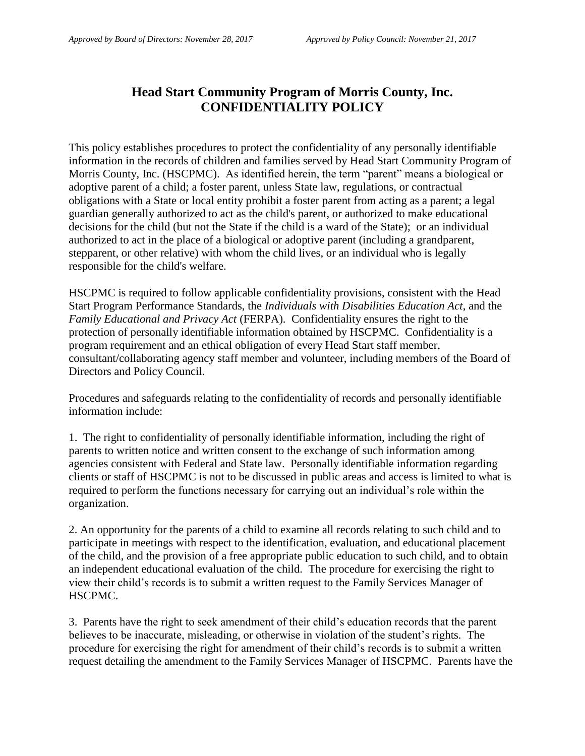### **Head Start Community Program of Morris County, Inc. CONFIDENTIALITY POLICY**

This policy establishes procedures to protect the confidentiality of any personally identifiable information in the records of children and families served by Head Start Community Program of Morris County, Inc. (HSCPMC). As identified herein, the term "parent" means a biological or adoptive parent of a child; a foster parent, unless State law, regulations, or contractual obligations with a State or local entity prohibit a foster parent from acting as a parent; a legal guardian generally authorized to act as the child's parent, or authorized to make educational decisions for the child (but not the State if the child is a ward of the State); or an individual authorized to act in the place of a biological or adoptive parent (including a grandparent, stepparent, or other relative) with whom the child lives, or an individual who is legally responsible for the child's welfare.

HSCPMC is required to follow applicable confidentiality provisions, consistent with the Head Start Program Performance Standards, the *Individuals with Disabilities Education Act*, and the *Family Educational and Privacy Act* (FERPA). Confidentiality ensures the right to the protection of personally identifiable information obtained by HSCPMC. Confidentiality is a program requirement and an ethical obligation of every Head Start staff member, consultant/collaborating agency staff member and volunteer, including members of the Board of Directors and Policy Council.

Procedures and safeguards relating to the confidentiality of records and personally identifiable information include:

1. The right to confidentiality of personally identifiable information, including the right of parents to written notice and written consent to the exchange of such information among agencies consistent with Federal and State law. Personally identifiable information regarding clients or staff of HSCPMC is not to be discussed in public areas and access is limited to what is required to perform the functions necessary for carrying out an individual's role within the organization.

2. An opportunity for the parents of a child to examine all records relating to such child and to participate in meetings with respect to the identification, evaluation, and educational placement of the child, and the provision of a free appropriate public education to such child, and to obtain an independent educational evaluation of the child. The procedure for exercising the right to view their child's records is to submit a written request to the Family Services Manager of HSCPMC.

3. Parents have the right to seek amendment of their child's education records that the parent believes to be inaccurate, misleading, or otherwise in violation of the student's rights. The procedure for exercising the right for amendment of their child's records is to submit a written request detailing the amendment to the Family Services Manager of HSCPMC. Parents have the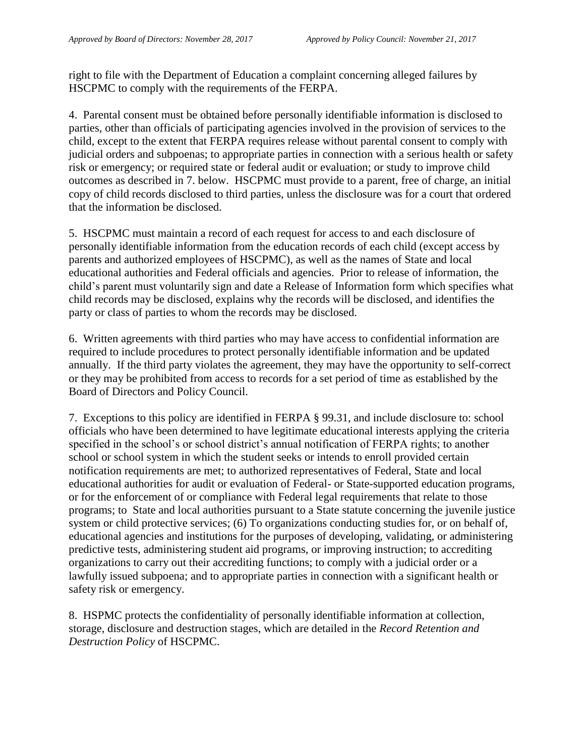right to file with the Department of Education a complaint concerning alleged failures by HSCPMC to comply with the requirements of the FERPA.

4. Parental consent must be obtained before personally identifiable information is disclosed to parties, other than officials of participating agencies involved in the provision of services to the child, except to the extent that FERPA requires release without parental consent to comply with judicial orders and subpoenas; to appropriate parties in connection with a serious health or safety risk or emergency; or required state or federal audit or evaluation; or study to improve child outcomes as described in 7. below. HSCPMC must provide to a parent, free of charge, an initial copy of child records disclosed to third parties, unless the disclosure was for a court that ordered that the information be disclosed.

5. HSCPMC must maintain a record of each request for access to and each disclosure of personally identifiable information from the education records of each child (except access by parents and authorized employees of HSCPMC), as well as the names of State and local educational authorities and Federal officials and agencies. Prior to release of information, the child's parent must voluntarily sign and date a Release of Information form which specifies what child records may be disclosed, explains why the records will be disclosed, and identifies the party or class of parties to whom the records may be disclosed.

6. Written agreements with third parties who may have access to confidential information are required to include procedures to protect personally identifiable information and be updated annually. If the third party violates the agreement, they may have the opportunity to self-correct or they may be prohibited from access to records for a set period of time as established by the Board of Directors and Policy Council.

7. Exceptions to this policy are identified in FERPA § 99.31, and include disclosure to: school officials who have been determined to have legitimate educational interests applying the criteria specified in the school's or school district's annual notification of FERPA rights; to another school or school system in which the student seeks or intends to enroll provided certain notification requirements are met; to authorized representatives of Federal, State and local educational authorities for audit or evaluation of Federal- or State-supported education programs, or for the enforcement of or compliance with Federal legal requirements that relate to those programs; to State and local authorities pursuant to a State statute concerning the juvenile justice system or child protective services; (6) To organizations conducting studies for, or on behalf of, educational agencies and institutions for the purposes of developing, validating, or administering predictive tests, administering student aid programs, or improving instruction; to accrediting organizations to carry out their accrediting functions; to comply with a judicial order or a lawfully issued subpoena; and to appropriate parties in connection with a significant health or safety risk or emergency.

8. HSPMC protects the confidentiality of personally identifiable information at collection, storage, disclosure and destruction stages, which are detailed in the *Record Retention and Destruction Policy* of HSCPMC.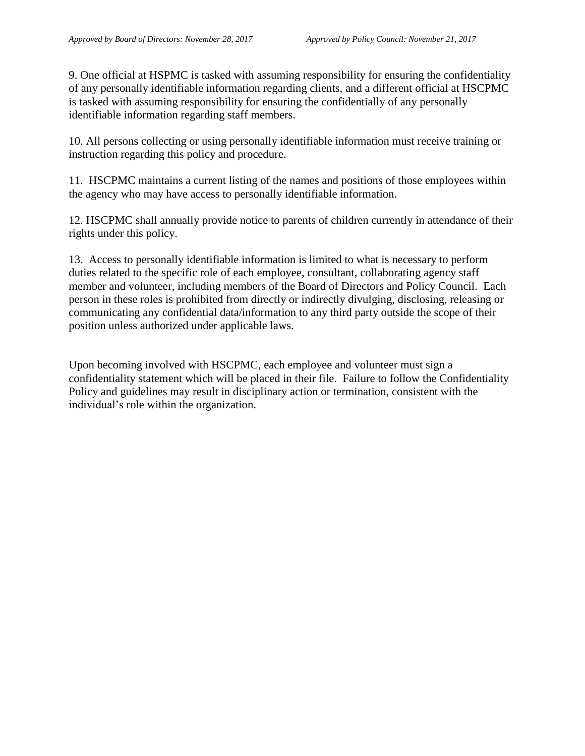9. One official at HSPMC is tasked with assuming responsibility for ensuring the confidentiality of any personally identifiable information regarding clients, and a different official at HSCPMC is tasked with assuming responsibility for ensuring the confidentially of any personally identifiable information regarding staff members.

10. All persons collecting or using personally identifiable information must receive training or instruction regarding this policy and procedure.

11. HSCPMC maintains a current listing of the names and positions of those employees within the agency who may have access to personally identifiable information.

12. HSCPMC shall annually provide notice to parents of children currently in attendance of their rights under this policy.

13. Access to personally identifiable information is limited to what is necessary to perform duties related to the specific role of each employee, consultant, collaborating agency staff member and volunteer, including members of the Board of Directors and Policy Council. Each person in these roles is prohibited from directly or indirectly divulging, disclosing, releasing or communicating any confidential data/information to any third party outside the scope of their position unless authorized under applicable laws.

Upon becoming involved with HSCPMC, each employee and volunteer must sign a confidentiality statement which will be placed in their file. Failure to follow the Confidentiality Policy and guidelines may result in disciplinary action or termination, consistent with the individual's role within the organization.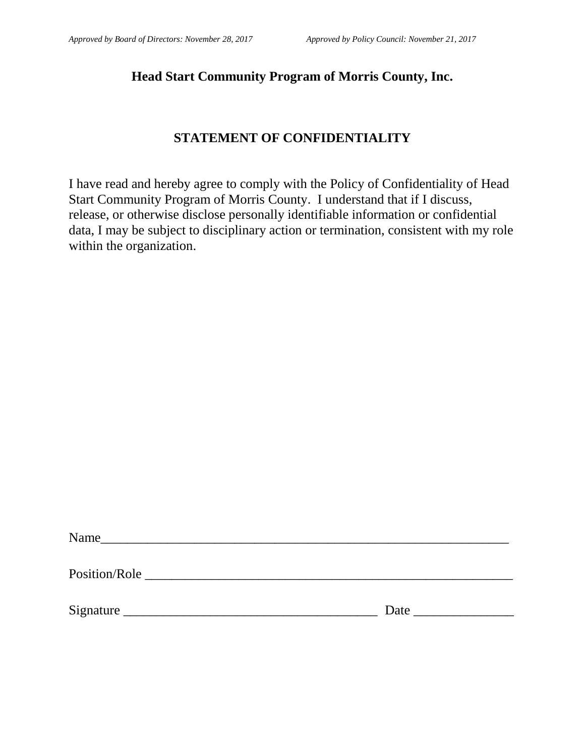### **Head Start Community Program of Morris County, Inc.**

### **STATEMENT OF CONFIDENTIALITY**

I have read and hereby agree to comply with the Policy of Confidentiality of Head Start Community Program of Morris County. I understand that if I discuss, release, or otherwise disclose personally identifiable information or confidential data, I may be subject to disciplinary action or termination, consistent with my role within the organization.

| Name          |      |
|---------------|------|
| Position/Role |      |
| Signature     | Date |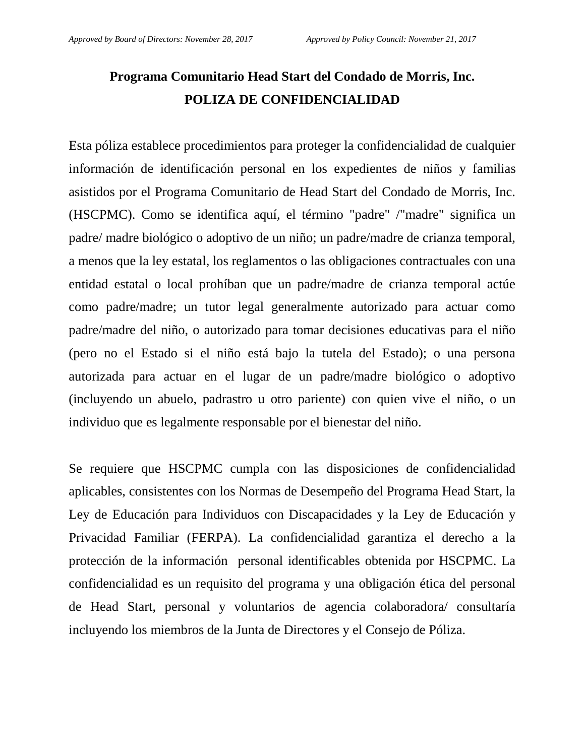# **Programa Comunitario Head Start del Condado de Morris, Inc. POLIZA DE CONFIDENCIALIDAD**

Esta póliza establece procedimientos para proteger la confidencialidad de cualquier información de identificación personal en los expedientes de niños y familias asistidos por el Programa Comunitario de Head Start del Condado de Morris, Inc. (HSCPMC). Como se identifica aquí, el término "padre" /"madre" significa un padre/ madre biológico o adoptivo de un niño; un padre/madre de crianza temporal, a menos que la ley estatal, los reglamentos o las obligaciones contractuales con una entidad estatal o local prohíban que un padre/madre de crianza temporal actúe como padre/madre; un tutor legal generalmente autorizado para actuar como padre/madre del niño, o autorizado para tomar decisiones educativas para el niño (pero no el Estado si el niño está bajo la tutela del Estado); o una persona autorizada para actuar en el lugar de un padre/madre biológico o adoptivo (incluyendo un abuelo, padrastro u otro pariente) con quien vive el niño, o un individuo que es legalmente responsable por el bienestar del niño.

Se requiere que HSCPMC cumpla con las disposiciones de confidencialidad aplicables, consistentes con los Normas de Desempeño del Programa Head Start, la Ley de Educación para Individuos con Discapacidades y la Ley de Educación y Privacidad Familiar (FERPA). La confidencialidad garantiza el derecho a la protección de la información personal identificables obtenida por HSCPMC. La confidencialidad es un requisito del programa y una obligación ética del personal de Head Start, personal y voluntarios de agencia colaboradora/ consultaría incluyendo los miembros de la Junta de Directores y el Consejo de Póliza.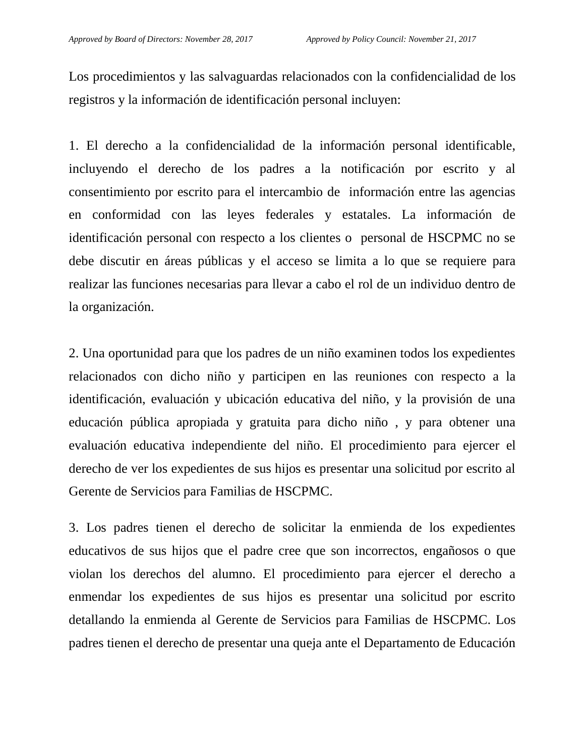Los procedimientos y las salvaguardas relacionados con la confidencialidad de los registros y la información de identificación personal incluyen:

1. El derecho a la confidencialidad de la información personal identificable, incluyendo el derecho de los padres a la notificación por escrito y al consentimiento por escrito para el intercambio de información entre las agencias en conformidad con las leyes federales y estatales. La información de identificación personal con respecto a los clientes o personal de HSCPMC no se debe discutir en áreas públicas y el acceso se limita a lo que se requiere para realizar las funciones necesarias para llevar a cabo el rol de un individuo dentro de la organización.

2. Una oportunidad para que los padres de un niño examinen todos los expedientes relacionados con dicho niño y participen en las reuniones con respecto a la identificación, evaluación y ubicación educativa del niño, y la provisión de una educación pública apropiada y gratuita para dicho niño , y para obtener una evaluación educativa independiente del niño. El procedimiento para ejercer el derecho de ver los expedientes de sus hijos es presentar una solicitud por escrito al Gerente de Servicios para Familias de HSCPMC.

3. Los padres tienen el derecho de solicitar la enmienda de los expedientes educativos de sus hijos que el padre cree que son incorrectos, engañosos o que violan los derechos del alumno. El procedimiento para ejercer el derecho a enmendar los expedientes de sus hijos es presentar una solicitud por escrito detallando la enmienda al Gerente de Servicios para Familias de HSCPMC. Los padres tienen el derecho de presentar una queja ante el Departamento de Educación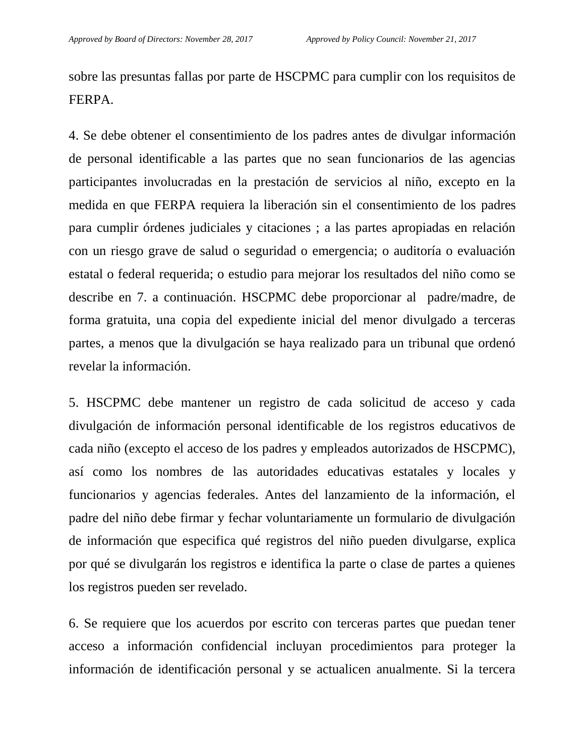sobre las presuntas fallas por parte de HSCPMC para cumplir con los requisitos de FERPA.

4. Se debe obtener el consentimiento de los padres antes de divulgar información de personal identificable a las partes que no sean funcionarios de las agencias participantes involucradas en la prestación de servicios al niño, excepto en la medida en que FERPA requiera la liberación sin el consentimiento de los padres para cumplir órdenes judiciales y citaciones ; a las partes apropiadas en relación con un riesgo grave de salud o seguridad o emergencia; o auditoría o evaluación estatal o federal requerida; o estudio para mejorar los resultados del niño como se describe en 7. a continuación. HSCPMC debe proporcionar al padre/madre, de forma gratuita, una copia del expediente inicial del menor divulgado a terceras partes, a menos que la divulgación se haya realizado para un tribunal que ordenó revelar la información.

5. HSCPMC debe mantener un registro de cada solicitud de acceso y cada divulgación de información personal identificable de los registros educativos de cada niño (excepto el acceso de los padres y empleados autorizados de HSCPMC), así como los nombres de las autoridades educativas estatales y locales y funcionarios y agencias federales. Antes del lanzamiento de la información, el padre del niño debe firmar y fechar voluntariamente un formulario de divulgación de información que especifica qué registros del niño pueden divulgarse, explica por qué se divulgarán los registros e identifica la parte o clase de partes a quienes los registros pueden ser revelado.

6. Se requiere que los acuerdos por escrito con terceras partes que puedan tener acceso a información confidencial incluyan procedimientos para proteger la información de identificación personal y se actualicen anualmente. Si la tercera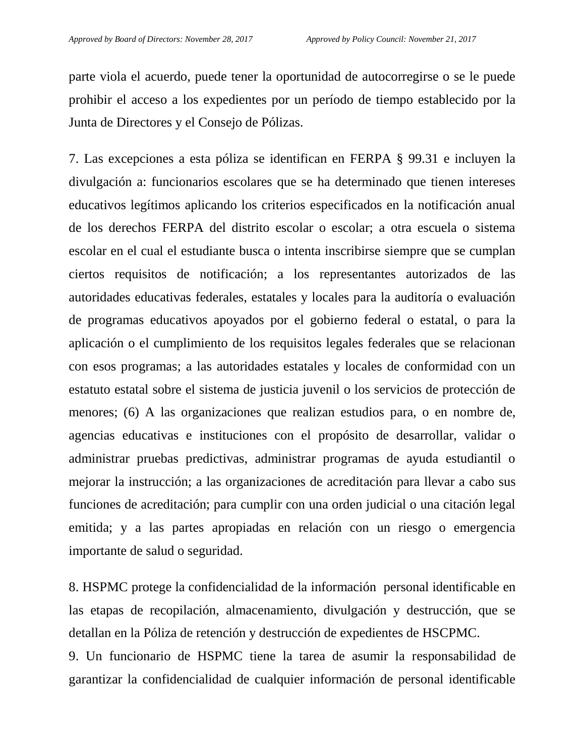parte viola el acuerdo, puede tener la oportunidad de autocorregirse o se le puede prohibir el acceso a los expedientes por un período de tiempo establecido por la Junta de Directores y el Consejo de Pólizas.

7. Las excepciones a esta póliza se identifican en FERPA § 99.31 e incluyen la divulgación a: funcionarios escolares que se ha determinado que tienen intereses educativos legítimos aplicando los criterios especificados en la notificación anual de los derechos FERPA del distrito escolar o escolar; a otra escuela o sistema escolar en el cual el estudiante busca o intenta inscribirse siempre que se cumplan ciertos requisitos de notificación; a los representantes autorizados de las autoridades educativas federales, estatales y locales para la auditoría o evaluación de programas educativos apoyados por el gobierno federal o estatal, o para la aplicación o el cumplimiento de los requisitos legales federales que se relacionan con esos programas; a las autoridades estatales y locales de conformidad con un estatuto estatal sobre el sistema de justicia juvenil o los servicios de protección de menores; (6) A las organizaciones que realizan estudios para, o en nombre de, agencias educativas e instituciones con el propósito de desarrollar, validar o administrar pruebas predictivas, administrar programas de ayuda estudiantil o mejorar la instrucción; a las organizaciones de acreditación para llevar a cabo sus funciones de acreditación; para cumplir con una orden judicial o una citación legal emitida; y a las partes apropiadas en relación con un riesgo o emergencia importante de salud o seguridad.

8. HSPMC protege la confidencialidad de la información personal identificable en las etapas de recopilación, almacenamiento, divulgación y destrucción, que se detallan en la Póliza de retención y destrucción de expedientes de HSCPMC.

9. Un funcionario de HSPMC tiene la tarea de asumir la responsabilidad de garantizar la confidencialidad de cualquier información de personal identificable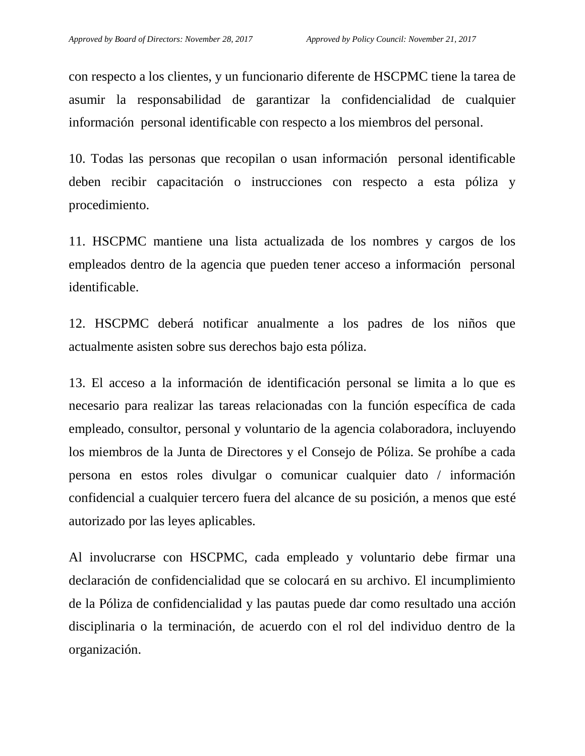con respecto a los clientes, y un funcionario diferente de HSCPMC tiene la tarea de asumir la responsabilidad de garantizar la confidencialidad de cualquier información personal identificable con respecto a los miembros del personal.

10. Todas las personas que recopilan o usan información personal identificable deben recibir capacitación o instrucciones con respecto a esta póliza y procedimiento.

11. HSCPMC mantiene una lista actualizada de los nombres y cargos de los empleados dentro de la agencia que pueden tener acceso a información personal identificable.

12. HSCPMC deberá notificar anualmente a los padres de los niños que actualmente asisten sobre sus derechos bajo esta póliza.

13. El acceso a la información de identificación personal se limita a lo que es necesario para realizar las tareas relacionadas con la función específica de cada empleado, consultor, personal y voluntario de la agencia colaboradora, incluyendo los miembros de la Junta de Directores y el Consejo de Póliza. Se prohíbe a cada persona en estos roles divulgar o comunicar cualquier dato / información confidencial a cualquier tercero fuera del alcance de su posición, a menos que esté autorizado por las leyes aplicables.

Al involucrarse con HSCPMC, cada empleado y voluntario debe firmar una declaración de confidencialidad que se colocará en su archivo. El incumplimiento de la Póliza de confidencialidad y las pautas puede dar como resultado una acción disciplinaria o la terminación, de acuerdo con el rol del individuo dentro de la organización.